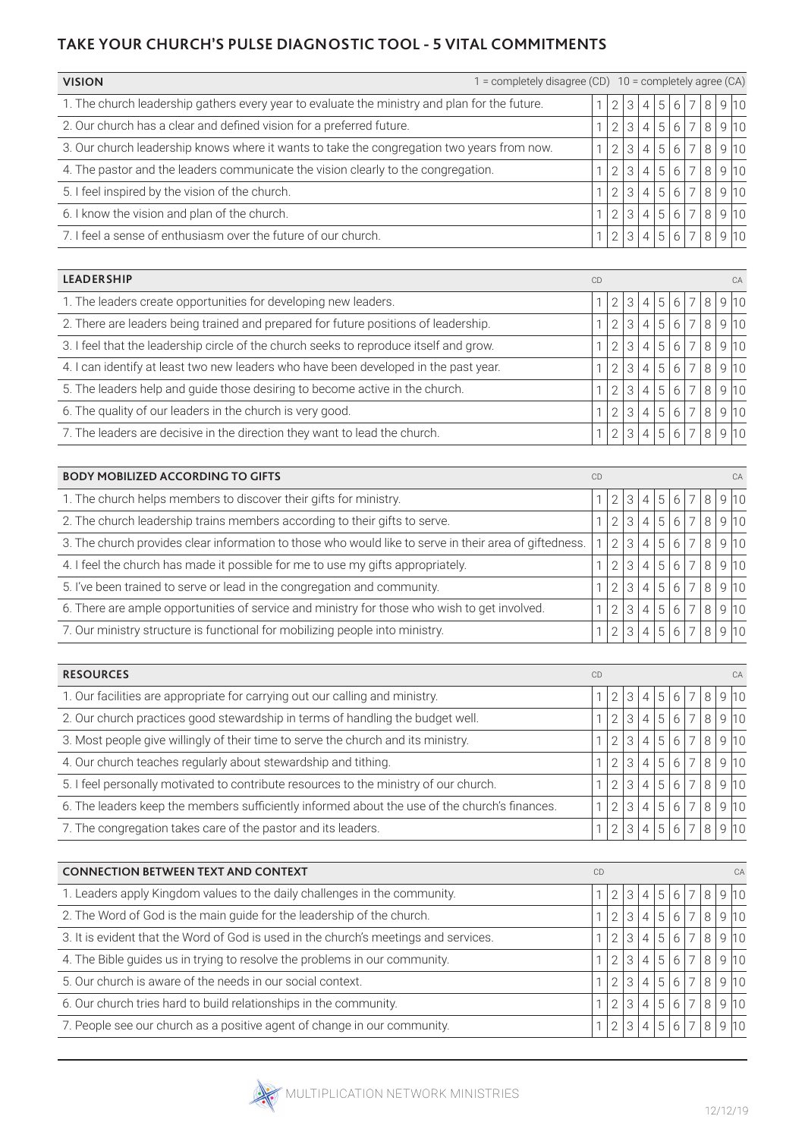## **TAKE YOUR CHURCH'S PULSE DIAGNOSTIC TOOL - 5 VITAL COMMITMENTS**

| <b>VISION</b>                                                                                 | = completely disagree (CD) 10 = completely agree (CA) |                |                 |          |             |         |                |        |        |      |  |  |  |
|-----------------------------------------------------------------------------------------------|-------------------------------------------------------|----------------|-----------------|----------|-------------|---------|----------------|--------|--------|------|--|--|--|
| 1. The church leadership gathers every year to evaluate the ministry and plan for the future. |                                                       |                | 31              | .4'      | 5           | 6       |                |        | 8 9 10 |      |  |  |  |
| 2. Our church has a clear and defined vision for a preferred future.                          |                                                       |                | 3 <sub>1</sub>  |          | 5           | 6       |                | . 8 '  | 910    |      |  |  |  |
| 3. Our church leadership knows where it wants to take the congregation two years from now.    |                                                       | $\mathcal{D}$  | 3 <sub>1</sub>  | $\Delta$ | $5^{\circ}$ | $6^{6}$ |                |        | 8 9 10 |      |  |  |  |
| 4. The pastor and the leaders communicate the vision clearly to the congregation.             |                                                       | 2              | $\mathcal{B}$   | 4        | 5           | 6       |                |        | 8 9 10 |      |  |  |  |
| 5. I feel inspired by the vision of the church.                                               |                                                       | $\overline{2}$ | 3 <sub>1</sub>  | 4        | 5           | 6       | $\overline{7}$ | 8 9 10 |        |      |  |  |  |
| 6. I know the vision and plan of the church.                                                  |                                                       | $\overline{2}$ | $\mathcal{B}$ . | $\Delta$ | 5           | 6       |                | 8      |        | 9 10 |  |  |  |
| 7. I feel a sense of enthusiasm over the future of our church.                                |                                                       | 2              | 3 <sub>1</sub>  | 4        | 5           |         |                | 8      |        | 9 10 |  |  |  |

| <b>LEADERSHIP</b>                                                                      | CD |            |   |                |                |         |                          |   |      | CA |
|----------------------------------------------------------------------------------------|----|------------|---|----------------|----------------|---------|--------------------------|---|------|----|
| 1. The leaders create opportunities for developing new leaders.                        |    | ◠          | 3 | 4              | 5 <sup>1</sup> | 6       |                          | 8 | 910  |    |
| 2. There are leaders being trained and prepared for future positions of leadership.    |    | ⌒          |   | $\overline{4}$ | $\overline{5}$ | 6       |                          | 8 | 9 10 |    |
| 3. I feel that the leadership circle of the church seeks to reproduce itself and grow. |    | $\bigcirc$ | 3 | $\vert$        | 5              | $6^{6}$ |                          | 8 | 910  |    |
| 4. I can identify at least two new leaders who have been developed in the past year.   |    | $\Omega$   | 3 | $\overline{4}$ | $\overline{5}$ | 6       | $\overline{\phantom{0}}$ | 8 | 910  |    |
| 5. The leaders help and guide those desiring to become active in the church.           |    | $\Omega$   | 3 | $\overline{4}$ | 5              | 6       |                          | 8 | 910  |    |
| 6. The quality of our leaders in the church is very good.                              |    | $\Omega$   | 3 | $\overline{4}$ | 5              | 6       | $\overline{\phantom{0}}$ | 8 | 910  |    |
| 7. The leaders are decisive in the direction they want to lead the church.             |    | $\cap$     | 3 |                | 5              |         |                          | 8 |      |    |
|                                                                                        |    |            |   |                |                |         |                          |   |      |    |

| <b>BODY MOBILIZED ACCORDING TO GIFTS</b>                                                               | <b>CD</b> |               |   |   | CA |                |  |   |      |  |
|--------------------------------------------------------------------------------------------------------|-----------|---------------|---|---|----|----------------|--|---|------|--|
| 1. The church helps members to discover their gifts for ministry.                                      |           |               |   |   | 5  | 6              |  | 8 | 910  |  |
| 2. The church leadership trains members according to their gifts to serve.                             |           | 2             | З |   | 5  | 6              |  | 8 | 910  |  |
| 3. The church provides clear information to those who would like to serve in their area of giftedness. |           | $\mathcal{P}$ | 3 | 4 | 5  | 6 <sup>1</sup> |  | 8 | 9 10 |  |
| 4. I feel the church has made it possible for me to use my gifts appropriately.                        |           |               | 3 | 4 | 5  | 6 <sup>1</sup> |  | 8 | 9 10 |  |
| 5. I've been trained to serve or lead in the congregation and community.                               |           | 2             | 3 | 4 | 5  | $6^{\circ}$    |  | 8 | 910  |  |
| 6. There are ample opportunities of service and ministry for those who wish to get involved.           |           |               | 3 |   | 5  | 6              |  | 8 | 9 10 |  |
| 7. Our ministry structure is functional for mobilizing people into ministry.                           |           |               | 3 |   | 5  |                |  |   | 910  |  |

| <b>RESOURCES</b>                                                                              | <b>CD</b> |                |   |   |   |   | CA |   |      |      |  |  |  |  |
|-----------------------------------------------------------------------------------------------|-----------|----------------|---|---|---|---|----|---|------|------|--|--|--|--|
| 1. Our facilities are appropriate for carrying out our calling and ministry.                  |           |                | 3 | 4 | 5 | 6 |    | 8 |      | 9 10 |  |  |  |  |
| 2. Our church practices good stewardship in terms of handling the budget well.                |           | 2              | 3 | 4 | 5 | 6 |    | 8 | 9 10 |      |  |  |  |  |
| 3. Most people give willingly of their time to serve the church and its ministry.             |           | 2              | 3 | 4 | 5 | 6 |    | 8 |      | 9 10 |  |  |  |  |
| 4. Our church teaches regularly about stewardship and tithing.                                |           | $\overline{2}$ | 3 | 4 | 5 | 6 |    | 8 |      | 9 10 |  |  |  |  |
| 5. I feel personally motivated to contribute resources to the ministry of our church.         |           | $\mathcal{D}$  | 3 | 4 | 5 | 6 |    | 8 | 9 10 |      |  |  |  |  |
| 6. The leaders keep the members sufficiently informed about the use of the church's finances. |           |                | 3 | 4 | 5 | 6 |    | 8 |      | 9 10 |  |  |  |  |
| 7. The congregation takes care of the pastor and its leaders.                                 |           |                |   |   |   |   |    | 8 |      |      |  |  |  |  |

| <b>CONNECTION BETWEEN TEXT AND CONTEXT</b>                                           | CD |                |   | CA                       |                |                |                |   |  |     |
|--------------------------------------------------------------------------------------|----|----------------|---|--------------------------|----------------|----------------|----------------|---|--|-----|
| 1. Leaders apply Kingdom values to the daily challenges in the community.            |    | 2              | 3 | 4                        | -5             | $.6^\circ$     |                | 8 |  | 910 |
| 2. The Word of God is the main guide for the leadership of the church.               |    | 2              | 3 | $\overline{A}$           | $\overline{5}$ | . 6            | $\overline{7}$ | 8 |  | 910 |
| 3. It is evident that the Word of God is used in the church's meetings and services. |    | $\overline{2}$ | 3 | 4                        | $\overline{5}$ | 6              |                | 8 |  | 910 |
| 4. The Bible guides us in trying to resolve the problems in our community.           |    | $\overline{2}$ | 3 | $\overline{\mathcal{L}}$ | 5              | $6^{6}$        | $\overline{7}$ | 8 |  | 910 |
| 5. Our church is aware of the needs in our social context.                           |    | $\mathcal{P}$  | 3 | 4                        | 5              | 6 <sup>1</sup> |                | 8 |  | 910 |
| 6. Our church tries hard to build relationships in the community.                    |    | $\overline{2}$ | 3 | $\overline{\mathcal{L}}$ | 5              | . 6            |                | 8 |  | 910 |
| 7. People see our church as a positive agent of change in our community.             |    | $\mathcal{D}$  | 3 | $\overline{4}$           | 5              |                |                | 8 |  | 910 |

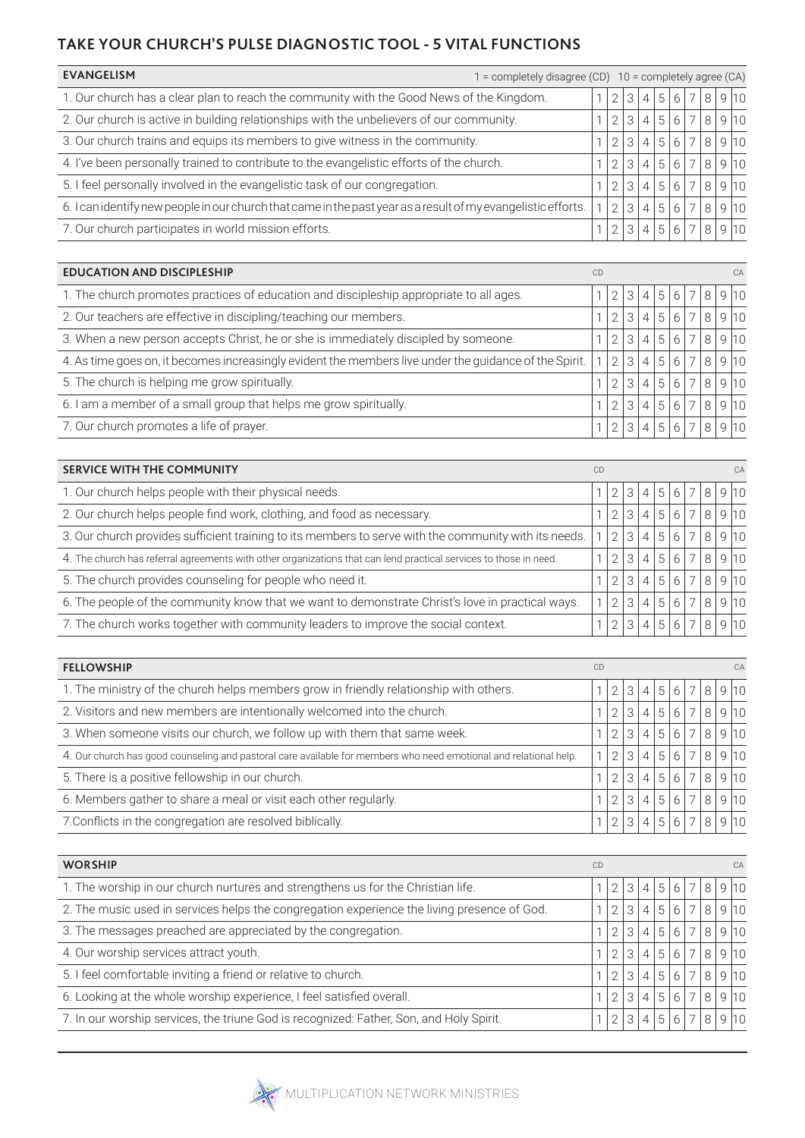## **TAKE YOUR CHURCH'S PULSE DIAGNOSTIC TOOL - 5 VITAL FUNCTIONS**

| <b>EVANGELISM</b><br>$=$ completely disagree (CD)                                                             |               |                |                |   |   |                          | 10 = completely agree (CA) |        |  |
|---------------------------------------------------------------------------------------------------------------|---------------|----------------|----------------|---|---|--------------------------|----------------------------|--------|--|
| 1. Our church has a clear plan to reach the community with the Good News of the Kingdom.                      |               | 3 <sub>1</sub> | $\overline{4}$ | 5 | 6 |                          | 8 <sup>1</sup>             | 910    |  |
| 2. Our church is active in building relationships with the unbelievers of our community.                      |               |                | 4              | 5 | 6 |                          | 8                          | 9 10   |  |
| 3. Our church trains and equips its members to give witness in the community.                                 | $\mathcal{P}$ | $\beta$ .      | 4              | 5 | 6 |                          |                            | 8 9 10 |  |
| 4. I've been personally trained to contribute to the evangelistic efforts of the church.                      | $\mathcal{P}$ | 3              | $\overline{4}$ | 5 | 6 | $\overline{\phantom{0}}$ |                            | 8 9 10 |  |
| 5. I feel personally involved in the evangelistic task of our congregation.                                   |               | 3              | 4              | 5 | 6 |                          | 8 <sup>1</sup>             | 910    |  |
| 6. I can identify new people in our church that came in the past year as a result of my evangelistic efforts. | $\mathcal{P}$ | 3 <sub>1</sub> | $\overline{4}$ | 5 | 6 |                          | 8                          | 9 10   |  |
| 7. Our church participates in world mission efforts.                                                          |               |                |                |   |   |                          | 8                          | 9 10   |  |

| <b>EDUCATION AND DISCIPLESHIP</b>                                                                      | CD |               |                             |          |                |   |                          |              |     |     |  |
|--------------------------------------------------------------------------------------------------------|----|---------------|-----------------------------|----------|----------------|---|--------------------------|--------------|-----|-----|--|
| 1. The church promotes practices of education and discipleship appropriate to all ages.                |    | $\mathcal{P}$ | -3 I                        |          | 5              | 6 |                          | 8            |     | 910 |  |
| 2. Our teachers are effective in discipling/teaching our members.                                      |    | $\mathcal{P}$ | $\lvert \mathcal{S} \rvert$ |          | $\overline{5}$ | 6 | $\overline{\phantom{1}}$ | R            |     | 910 |  |
| 3. When a new person accepts Christ, he or she is immediately discipled by someone.                    |    | $\mathcal{D}$ | $\mathcal{S}$               | $\Delta$ | 5              | 6 | $\overline{7}$           | 8            |     | 910 |  |
| 4. As time goes on, it becomes increasingly evident the members live under the guidance of the Spirit. |    | $\mathcal{D}$ | 3                           |          | $\overline{5}$ | 6 | $\overline{ }$           |              |     | 910 |  |
| 5. The church is helping me grow spiritually.                                                          |    | $\mathcal{P}$ | 3                           |          | $\overline{5}$ | 6 | $\overline{\phantom{1}}$ | 8            |     | 910 |  |
| 6. I am a member of a small group that helps me grow spiritually.                                      |    | $\mathcal{D}$ | $-31$                       |          | $\overline{5}$ | 6 | $\overline{7}$           | $\mathsf{R}$ |     | 910 |  |
| 7. Our church promotes a life of prayer.                                                               |    | $\mathcal{D}$ | $^{\circ}3$ .               |          |                |   |                          |              | 910 |     |  |

| <b>SERVICE WITH THE COMMUNITY</b>                                                                                 | CD |   |                |   |     |                |   |     | CA   |
|-------------------------------------------------------------------------------------------------------------------|----|---|----------------|---|-----|----------------|---|-----|------|
| 1. Our church helps people with their physical needs.                                                             |    |   |                | 5 | 6   |                | 8 |     | 9 10 |
| 2. Our church helps people find work, clothing, and food as necessary.                                            |    | 3 |                | 5 | 6   |                | 8 |     | 910  |
| 3. Our church provides sufficient training to its members to serve with the community with its needs.             |    | 3 | 4              | 5 | 6   |                | 8 |     | 910  |
| 4. The church has referral agreements with other organizations that can lend practical services to those in need. |    | 3 | $\overline{4}$ | 5 | 6   | $\overline{7}$ | 8 |     | 9 10 |
| 5. The church provides counseling for people who need it.                                                         |    | 3 |                | 5 | 6   |                | 8 |     | 910  |
| 6. The people of the community know that we want to demonstrate Christ's love in practical ways.                  |    | З |                | 5 | 6   | $\overline{7}$ | 8 | 910 |      |
| 7. The church works together with community leaders to improve the social context.                                |    |   |                |   | . 6 |                |   |     |      |

| <b>FELLOWSHIP</b>                                                                                                 | <b>CD</b> |               |                   |                | CA             |                |               |  |        |  |  |
|-------------------------------------------------------------------------------------------------------------------|-----------|---------------|-------------------|----------------|----------------|----------------|---------------|--|--------|--|--|
| 1. The ministry of the church helps members grow in friendly relationship with others.                            |           | $\mathcal{P}$ | 131               | 5              | 6 <sup>1</sup> | $\overline{7}$ | 8             |  | 9 10   |  |  |
| 2. Visitors and new members are intentionally welcomed into the church.                                           |           | $\mathcal{P}$ | $\lvert 3 \rvert$ | $\overline{5}$ | 6              | $\overline{7}$ | $\mathcal{B}$ |  | 910    |  |  |
| 3. When someone visits our church, we follow up with them that same week.                                         |           | $\mathcal{P}$ | 13 <sub>1</sub>   | 5              | 6 <sup>1</sup> | ו ל            |               |  | 8 9 10 |  |  |
| 4. Our church has good counseling and pastoral care available for members who need emotional and relational help. |           | $\mathcal{P}$ | $\mathcal{B}$     | 5              | 6 <sup>1</sup> | $\overline{7}$ | 8             |  | 9 10   |  |  |
| 5. There is a positive fellowship in our church.                                                                  |           | $\mathcal{D}$ | $\mathcal{E}$     | $\overline{5}$ | 6              | $\overline{7}$ | 8             |  | 9 10   |  |  |
| 6. Members gather to share a meal or visit each other regularly.                                                  |           | $\mathcal{D}$ | $\mathcal{S}$     | 5              | 6              | $\overline{7}$ | $\mathsf{R}$  |  | 9 10   |  |  |
| 7. Conflicts in the congregation are resolved biblically.                                                         |           | 2             | 131               |                |                |                | 8             |  | 9 10   |  |  |

| <b>WORSHIP</b>                                                                              | CD |                |               |                          |                |    | CA |   |   |     |  |  |  |
|---------------------------------------------------------------------------------------------|----|----------------|---------------|--------------------------|----------------|----|----|---|---|-----|--|--|--|
| 1. The worship in our church nurtures and strengthens us for the Christian life.            |    |                | 3             | 4                        | 5              | 6  |    | 8 | g | 110 |  |  |  |
| 2. The music used in services helps the congregation experience the living presence of God. |    |                | $\mathcal{S}$ | 4                        | $\overline{5}$ | h  |    | 8 | Q | 110 |  |  |  |
| 3. The messages preached are appreciated by the congregation.                               |    | 2              | 3             | 4                        | 5              | 6  |    | 8 | Q | 110 |  |  |  |
| 4. Our worship services attract youth.                                                      |    | $\overline{2}$ | 3             | $\Delta$                 | 5              | F. |    | 8 |   | 910 |  |  |  |
| 5. I feel comfortable inviting a friend or relative to church.                              |    | $\mathcal{P}$  | 3             | $\overline{\mathcal{A}}$ | 5              | Б  |    | 8 | Q |     |  |  |  |
| 6. Looking at the whole worship experience, I feel satisfied overall.                       |    | 2              | 3             | $\overline{\mathcal{A}}$ | 5              |    |    | 8 | Q | 110 |  |  |  |
| 7. In our worship services, the triune God is recognized: Father, Son, and Holy Spirit.     |    | $\mathcal{P}$  | 3             |                          | 5              |    |    | 8 | Q |     |  |  |  |